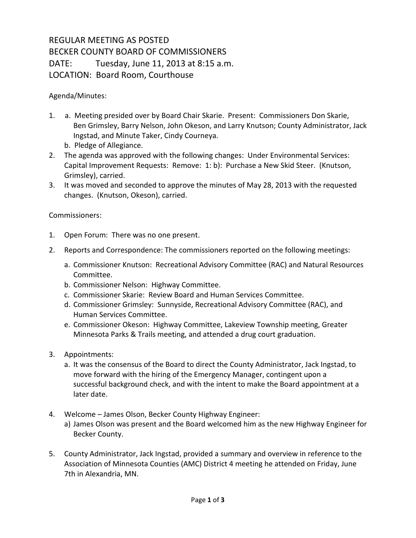## REGULAR MEETING AS POSTED BECKER COUNTY BOARD OF COMMISSIONERS DATE: Tuesday, June 11, 2013 at 8:15 a.m. LOCATION: Board Room, Courthouse

Agenda/Minutes:

- 1. a. Meeting presided over by Board Chair Skarie. Present: Commissioners Don Skarie, Ben Grimsley, Barry Nelson, John Okeson, and Larry Knutson; County Administrator, Jack Ingstad, and Minute Taker, Cindy Courneya.
	- b. Pledge of Allegiance.
- 2. The agenda was approved with the following changes: Under Environmental Services: Capital Improvement Requests: Remove: 1: b): Purchase a New Skid Steer. (Knutson, Grimsley), carried.
- 3. It was moved and seconded to approve the minutes of May 28, 2013 with the requested changes. (Knutson, Okeson), carried.

Commissioners:

- 1. Open Forum: There was no one present.
- 2. Reports and Correspondence: The commissioners reported on the following meetings:
	- a. Commissioner Knutson: Recreational Advisory Committee (RAC) and Natural Resources Committee.
	- b. Commissioner Nelson: Highway Committee.
	- c. Commissioner Skarie: Review Board and Human Services Committee.
	- d. Commissioner Grimsley: Sunnyside, Recreational Advisory Committee (RAC), and Human Services Committee.
	- e. Commissioner Okeson: Highway Committee, Lakeview Township meeting, Greater Minnesota Parks & Trails meeting, and attended a drug court graduation.
- 3. Appointments:
	- a. It was the consensus of the Board to direct the County Administrator, Jack Ingstad, to move forward with the hiring of the Emergency Manager, contingent upon a successful background check, and with the intent to make the Board appointment at a later date.
- 4. Welcome James Olson, Becker County Highway Engineer:
	- a) James Olson was present and the Board welcomed him as the new Highway Engineer for Becker County.
- 5. County Administrator, Jack Ingstad, provided a summary and overview in reference to the Association of Minnesota Counties (AMC) District 4 meeting he attended on Friday, June 7th in Alexandria, MN.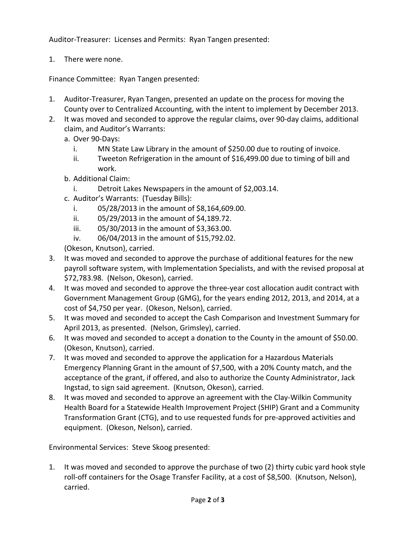Auditor-Treasurer: Licenses and Permits: Ryan Tangen presented:

1. There were none.

Finance Committee: Ryan Tangen presented:

- 1. Auditor-Treasurer, Ryan Tangen, presented an update on the process for moving the County over to Centralized Accounting, with the intent to implement by December 2013.
- 2. It was moved and seconded to approve the regular claims, over 90-day claims, additional claim, and Auditor's Warrants:
	- a. Over 90-Days:
		- i. MN State Law Library in the amount of \$250.00 due to routing of invoice.
		- ii. Tweeton Refrigeration in the amount of \$16,499.00 due to timing of bill and work.
	- b. Additional Claim:
		- i. Detroit Lakes Newspapers in the amount of \$2,003.14.
	- c. Auditor's Warrants: (Tuesday Bills):
		- i. 05/28/2013 in the amount of \$8,164,609.00.
		- ii. 05/29/2013 in the amount of \$4,189.72.
		- iii. 05/30/2013 in the amount of \$3,363.00.
		- iv. 06/04/2013 in the amount of \$15,792.02.

(Okeson, Knutson), carried.

- 3. It was moved and seconded to approve the purchase of additional features for the new payroll software system, with Implementation Specialists, and with the revised proposal at \$72,783.98. (Nelson, Okeson), carried.
- 4. It was moved and seconded to approve the three-year cost allocation audit contract with Government Management Group (GMG), for the years ending 2012, 2013, and 2014, at a cost of \$4,750 per year. (Okeson, Nelson), carried.
- 5. It was moved and seconded to accept the Cash Comparison and Investment Summary for April 2013, as presented. (Nelson, Grimsley), carried.
- 6. It was moved and seconded to accept a donation to the County in the amount of \$50.00. (Okeson, Knutson), carried.
- 7. It was moved and seconded to approve the application for a Hazardous Materials Emergency Planning Grant in the amount of \$7,500, with a 20% County match, and the acceptance of the grant, if offered, and also to authorize the County Administrator, Jack Ingstad, to sign said agreement. (Knutson, Okeson), carried.
- 8. It was moved and seconded to approve an agreement with the Clay-Wilkin Community Health Board for a Statewide Health Improvement Project (SHIP) Grant and a Community Transformation Grant (CTG), and to use requested funds for pre-approved activities and equipment. (Okeson, Nelson), carried.

Environmental Services: Steve Skoog presented:

1. It was moved and seconded to approve the purchase of two (2) thirty cubic yard hook style roll-off containers for the Osage Transfer Facility, at a cost of \$8,500. (Knutson, Nelson), carried.